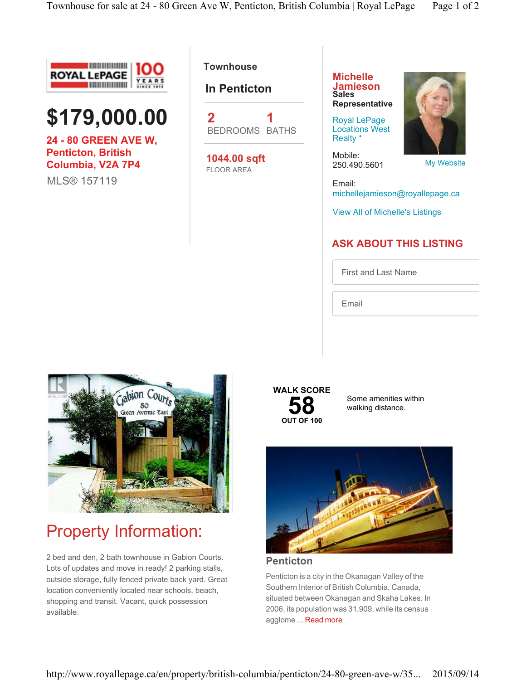



**24 - 80 GREEN AVE W, Penticton, British Columbia, V2A 7P4** MLS® 157119

**Townhouse** 

**In Penticton**



**1044.00 sqft** FLOOR AREA

**Michelle Jamieson Sales Representative**

Royal LePage Locations West Realty \*

Mobile: 250.490.5601

My Website

Email: michellejamieson@royallepage.ca

View All of Michelle's Listings

#### **ASK ABOUT THIS LISTING**

First and Last Name

Email



# Property Information:

2 bed and den, 2 bath townhouse in Gabion Courts. Lots of updates and move in ready! 2 parking stalls, outside storage, fully fenced private back yard. Great location conveniently located near schools, beach, shopping and transit. Vacant, quick possession available.



Some amenities within walking distance.



**Penticton**

Penticton is a city in the Okanagan Valley of the Southern Interior of British Columbia, Canada, situated between Okanagan and Skaha Lakes. In 2006, its population was 31,909, while its census agglome ... Read more